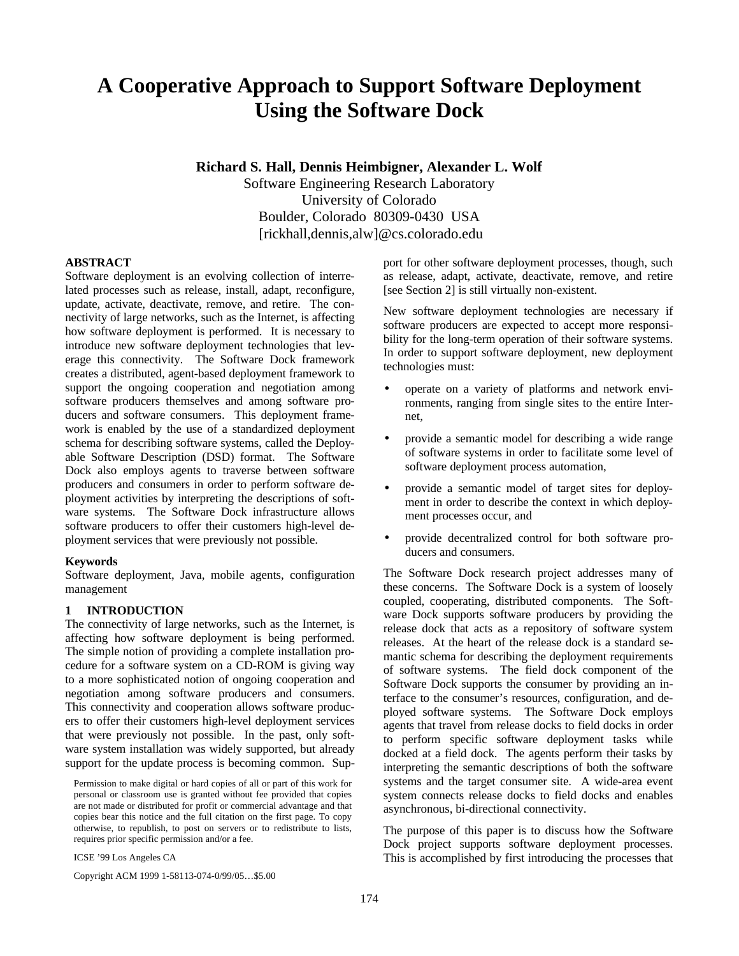# **A Cooperative Approach to Support Software Deployment Using the Software Dock**

**Richard S. Hall, Dennis Heimbigner, Alexander L. Wolf** Software Engineering Research Laboratory University of Colorado Boulder, Colorado 80309-0430 USA [rickhall,dennis,alw]@cs.colorado.edu

### **ABSTRACT**

Software deployment is an evolving collection of interrelated processes such as release, install, adapt, reconfigure, update, activate, deactivate, remove, and retire. The connectivity of large networks, such as the Internet, is affecting how software deployment is performed. It is necessary to introduce new software deployment technologies that leverage this connectivity. The Software Dock framework creates a distributed, agent-based deployment framework to support the ongoing cooperation and negotiation among software producers themselves and among software producers and software consumers. This deployment framework is enabled by the use of a standardized deployment schema for describing software systems, called the Deployable Software Description (DSD) format. The Software Dock also employs agents to traverse between software producers and consumers in order to perform software deployment activities by interpreting the descriptions of software systems. The Software Dock infrastructure allows software producers to offer their customers high-level deployment services that were previously not possible.

#### **Keywords**

Software deployment, Java, mobile agents, configuration management

# **1 INTRODUCTION**

The connectivity of large networks, such as the Internet, is affecting how software deployment is being performed. The simple notion of providing a complete installation procedure for a software system on a CD-ROM is giving way to a more sophisticated notion of ongoing cooperation and negotiation among software producers and consumers. This connectivity and cooperation allows software producers to offer their customers high-level deployment services that were previously not possible. In the past, only software system installation was widely supported, but already support for the update process is becoming common. Sup-

ICSE '99 Los Angeles CA

Copyright ACM 1999 1-58113-074-0/99/05…\$5.00

port for other software deployment processes, though, such as release, adapt, activate, deactivate, remove, and retire [see Section 2] is still virtually non-existent.

New software deployment technologies are necessary if software producers are expected to accept more responsibility for the long-term operation of their software systems. In order to support software deployment, new deployment technologies must:

- operate on a variety of platforms and network environments, ranging from single sites to the entire Internet,
- provide a semantic model for describing a wide range of software systems in order to facilitate some level of software deployment process automation,
- provide a semantic model of target sites for deployment in order to describe the context in which deployment processes occur, and
- provide decentralized control for both software producers and consumers.

The Software Dock research project addresses many of these concerns. The Software Dock is a system of loosely coupled, cooperating, distributed components. The Software Dock supports software producers by providing the release dock that acts as a repository of software system releases. At the heart of the release dock is a standard semantic schema for describing the deployment requirements of software systems. The field dock component of the Software Dock supports the consumer by providing an interface to the consumer's resources, configuration, and deployed software systems. The Software Dock employs agents that travel from release docks to field docks in order to perform specific software deployment tasks while docked at a field dock. The agents perform their tasks by interpreting the semantic descriptions of both the software systems and the target consumer site. A wide-area event system connects release docks to field docks and enables asynchronous, bi-directional connectivity.

The purpose of this paper is to discuss how the Software Dock project supports software deployment processes. This is accomplished by first introducing the processes that

Permission to make digital or hard copies of all or part of this work for personal or classroom use is granted without fee provided that copies are not made or distributed for profit or commercial advantage and that copies bear this notice and the full citation on the first page. To copy otherwise, to republish, to post on servers or to redistribute to lists, requires prior specific permission and/or a fee.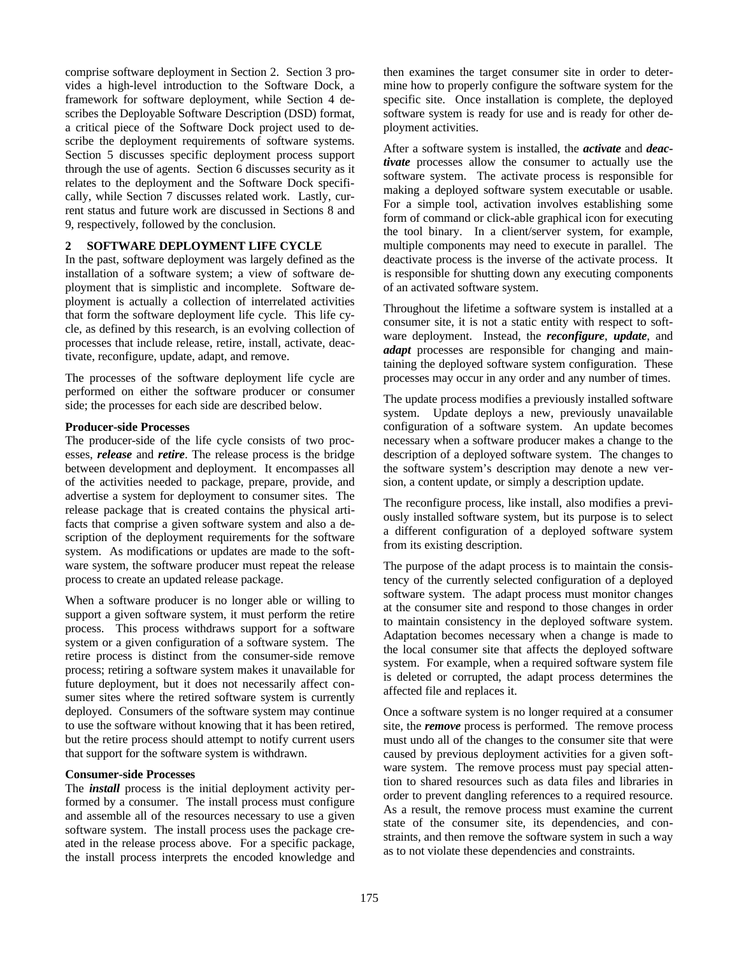comprise software deployment in Section 2. Section 3 provides a high-level introduction to the Software Dock, a framework for software deployment, while Section 4 describes the Deployable Software Description (DSD) format, a critical piece of the Software Dock project used to describe the deployment requirements of software systems. Section 5 discusses specific deployment process support through the use of agents. Section 6 discusses security as it relates to the deployment and the Software Dock specifically, while Section 7 discusses related work. Lastly, current status and future work are discussed in Sections 8 and 9, respectively, followed by the conclusion.

# **2 SOFTWARE DEPLOYMENT LIFE CYCLE**

In the past, software deployment was largely defined as the installation of a software system; a view of software deployment that is simplistic and incomplete. Software deployment is actually a collection of interrelated activities that form the software deployment life cycle. This life cycle, as defined by this research, is an evolving collection of processes that include release, retire, install, activate, deactivate, reconfigure, update, adapt, and remove.

The processes of the software deployment life cycle are performed on either the software producer or consumer side; the processes for each side are described below.

### **Producer-side Processes**

The producer-side of the life cycle consists of two processes, *release* and *retire*. The release process is the bridge between development and deployment. It encompasses all of the activities needed to package, prepare, provide, and advertise a system for deployment to consumer sites. The release package that is created contains the physical artifacts that comprise a given software system and also a description of the deployment requirements for the software system. As modifications or updates are made to the software system, the software producer must repeat the release process to create an updated release package.

When a software producer is no longer able or willing to support a given software system, it must perform the retire process. This process withdraws support for a software system or a given configuration of a software system. The retire process is distinct from the consumer-side remove process; retiring a software system makes it unavailable for future deployment, but it does not necessarily affect consumer sites where the retired software system is currently deployed. Consumers of the software system may continue to use the software without knowing that it has been retired, but the retire process should attempt to notify current users that support for the software system is withdrawn.

### **Consumer-side Processes**

The *install* process is the initial deployment activity performed by a consumer. The install process must configure and assemble all of the resources necessary to use a given software system. The install process uses the package created in the release process above. For a specific package, the install process interprets the encoded knowledge and

then examines the target consumer site in order to determine how to properly configure the software system for the specific site. Once installation is complete, the deployed software system is ready for use and is ready for other deployment activities.

After a software system is installed, the *activate* and *deactivate* processes allow the consumer to actually use the software system. The activate process is responsible for making a deployed software system executable or usable. For a simple tool, activation involves establishing some form of command or click-able graphical icon for executing the tool binary. In a client/server system, for example, multiple components may need to execute in parallel. The deactivate process is the inverse of the activate process. It is responsible for shutting down any executing components of an activated software system.

Throughout the lifetime a software system is installed at a consumer site, it is not a static entity with respect to software deployment. Instead, the *reconfigure*, *update*, and *adapt* processes are responsible for changing and maintaining the deployed software system configuration. These processes may occur in any order and any number of times.

The update process modifies a previously installed software system. Update deploys a new, previously unavailable configuration of a software system. An update becomes necessary when a software producer makes a change to the description of a deployed software system. The changes to the software system's description may denote a new version, a content update, or simply a description update.

The reconfigure process, like install, also modifies a previously installed software system, but its purpose is to select a different configuration of a deployed software system from its existing description.

The purpose of the adapt process is to maintain the consistency of the currently selected configuration of a deployed software system. The adapt process must monitor changes at the consumer site and respond to those changes in order to maintain consistency in the deployed software system. Adaptation becomes necessary when a change is made to the local consumer site that affects the deployed software system. For example, when a required software system file is deleted or corrupted, the adapt process determines the affected file and replaces it.

Once a software system is no longer required at a consumer site, the *remove* process is performed. The remove process must undo all of the changes to the consumer site that were caused by previous deployment activities for a given software system. The remove process must pay special attention to shared resources such as data files and libraries in order to prevent dangling references to a required resource. As a result, the remove process must examine the current state of the consumer site, its dependencies, and constraints, and then remove the software system in such a way as to not violate these dependencies and constraints.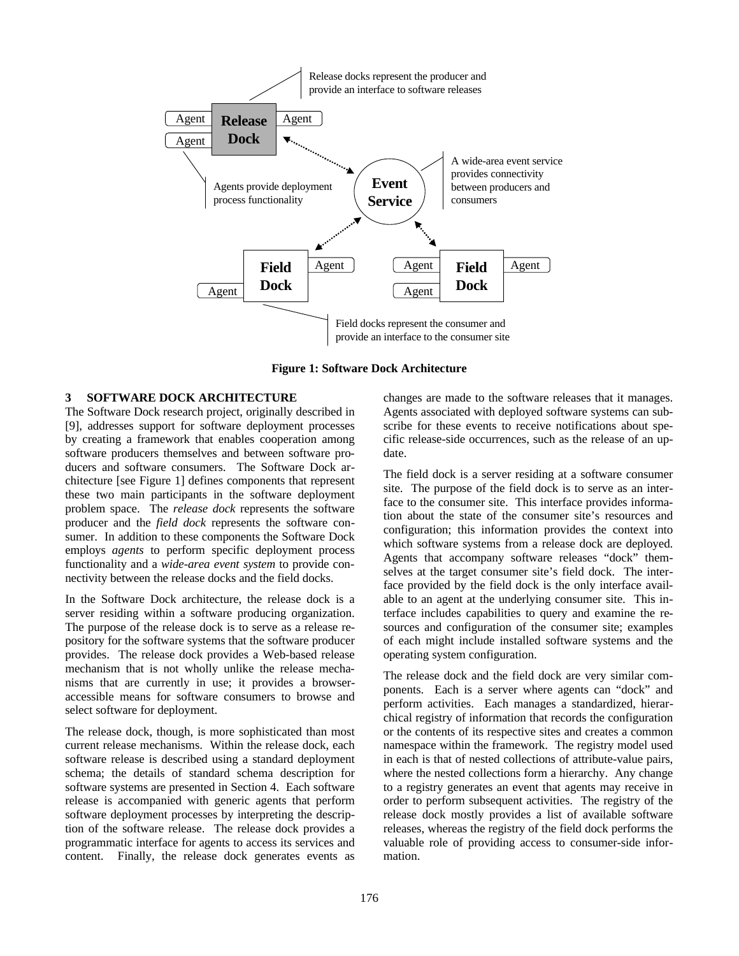

**Figure 1: Software Dock Architecture**

# **3 SOFTWARE DOCK ARCHITECTURE**

The Software Dock research project, originally described in [9], addresses support for software deployment processes by creating a framework that enables cooperation among software producers themselves and between software producers and software consumers. The Software Dock architecture [see Figure 1] defines components that represent these two main participants in the software deployment problem space. The *release dock* represents the software producer and the *field dock* represents the software consumer. In addition to these components the Software Dock employs *agents* to perform specific deployment process functionality and a *wide-area event system* to provide connectivity between the release docks and the field docks.

In the Software Dock architecture, the release dock is a server residing within a software producing organization. The purpose of the release dock is to serve as a release repository for the software systems that the software producer provides. The release dock provides a Web-based release mechanism that is not wholly unlike the release mechanisms that are currently in use; it provides a browseraccessible means for software consumers to browse and select software for deployment.

The release dock, though, is more sophisticated than most current release mechanisms. Within the release dock, each software release is described using a standard deployment schema; the details of standard schema description for software systems are presented in Section 4. Each software release is accompanied with generic agents that perform software deployment processes by interpreting the description of the software release. The release dock provides a programmatic interface for agents to access its services and content. Finally, the release dock generates events as

changes are made to the software releases that it manages. Agents associated with deployed software systems can subscribe for these events to receive notifications about specific release-side occurrences, such as the release of an update.

The field dock is a server residing at a software consumer site. The purpose of the field dock is to serve as an interface to the consumer site. This interface provides information about the state of the consumer site's resources and configuration; this information provides the context into which software systems from a release dock are deployed. Agents that accompany software releases "dock" themselves at the target consumer site's field dock. The interface provided by the field dock is the only interface available to an agent at the underlying consumer site. This interface includes capabilities to query and examine the resources and configuration of the consumer site; examples of each might include installed software systems and the operating system configuration.

The release dock and the field dock are very similar components. Each is a server where agents can "dock" and perform activities. Each manages a standardized, hierarchical registry of information that records the configuration or the contents of its respective sites and creates a common namespace within the framework. The registry model used in each is that of nested collections of attribute-value pairs, where the nested collections form a hierarchy. Any change to a registry generates an event that agents may receive in order to perform subsequent activities. The registry of the release dock mostly provides a list of available software releases, whereas the registry of the field dock performs the valuable role of providing access to consumer-side information.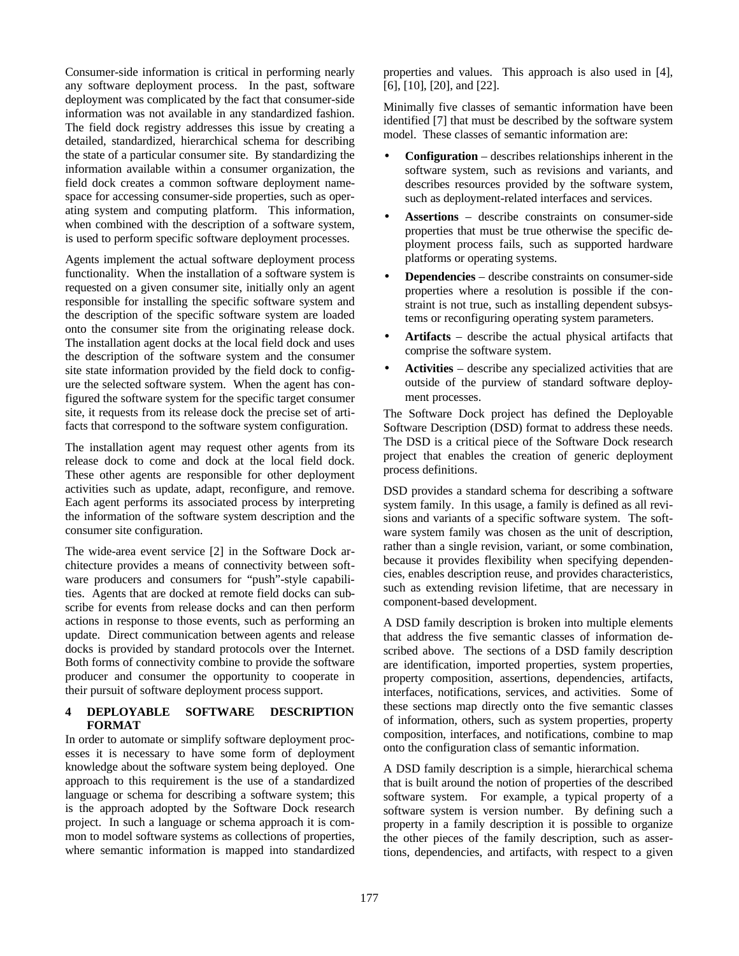Consumer-side information is critical in performing nearly any software deployment process. In the past, software deployment was complicated by the fact that consumer-side information was not available in any standardized fashion. The field dock registry addresses this issue by creating a detailed, standardized, hierarchical schema for describing the state of a particular consumer site. By standardizing the information available within a consumer organization, the field dock creates a common software deployment namespace for accessing consumer-side properties, such as operating system and computing platform. This information, when combined with the description of a software system, is used to perform specific software deployment processes.

Agents implement the actual software deployment process functionality. When the installation of a software system is requested on a given consumer site, initially only an agent responsible for installing the specific software system and the description of the specific software system are loaded onto the consumer site from the originating release dock. The installation agent docks at the local field dock and uses the description of the software system and the consumer site state information provided by the field dock to configure the selected software system. When the agent has configured the software system for the specific target consumer site, it requests from its release dock the precise set of artifacts that correspond to the software system configuration.

The installation agent may request other agents from its release dock to come and dock at the local field dock. These other agents are responsible for other deployment activities such as update, adapt, reconfigure, and remove. Each agent performs its associated process by interpreting the information of the software system description and the consumer site configuration.

The wide-area event service [2] in the Software Dock architecture provides a means of connectivity between software producers and consumers for "push"-style capabilities. Agents that are docked at remote field docks can subscribe for events from release docks and can then perform actions in response to those events, such as performing an update. Direct communication between agents and release docks is provided by standard protocols over the Internet. Both forms of connectivity combine to provide the software producer and consumer the opportunity to cooperate in their pursuit of software deployment process support.

## **4 DEPLOYABLE SOFTWARE DESCRIPTION FORMAT**

In order to automate or simplify software deployment processes it is necessary to have some form of deployment knowledge about the software system being deployed. One approach to this requirement is the use of a standardized language or schema for describing a software system; this is the approach adopted by the Software Dock research project. In such a language or schema approach it is common to model software systems as collections of properties, where semantic information is mapped into standardized

properties and values. This approach is also used in [4], [6], [10], [20], and [22].

Minimally five classes of semantic information have been identified [7] that must be described by the software system model. These classes of semantic information are:

- **Configuration** describes relationships inherent in the software system, such as revisions and variants, and describes resources provided by the software system, such as deployment-related interfaces and services.
- **Assertions** describe constraints on consumer-side properties that must be true otherwise the specific deployment process fails, such as supported hardware platforms or operating systems.
- **Dependencies** describe constraints on consumer-side properties where a resolution is possible if the constraint is not true, such as installing dependent subsystems or reconfiguring operating system parameters.
- **Artifacts** describe the actual physical artifacts that comprise the software system.
- **Activities** describe any specialized activities that are outside of the purview of standard software deployment processes.

The Software Dock project has defined the Deployable Software Description (DSD) format to address these needs. The DSD is a critical piece of the Software Dock research project that enables the creation of generic deployment process definitions.

DSD provides a standard schema for describing a software system family. In this usage, a family is defined as all revisions and variants of a specific software system. The software system family was chosen as the unit of description, rather than a single revision, variant, or some combination, because it provides flexibility when specifying dependencies, enables description reuse, and provides characteristics, such as extending revision lifetime, that are necessary in component-based development.

A DSD family description is broken into multiple elements that address the five semantic classes of information described above. The sections of a DSD family description are identification, imported properties, system properties, property composition, assertions, dependencies, artifacts, interfaces, notifications, services, and activities. Some of these sections map directly onto the five semantic classes of information, others, such as system properties, property composition, interfaces, and notifications, combine to map onto the configuration class of semantic information.

A DSD family description is a simple, hierarchical schema that is built around the notion of properties of the described software system. For example, a typical property of a software system is version number. By defining such a property in a family description it is possible to organize the other pieces of the family description, such as assertions, dependencies, and artifacts, with respect to a given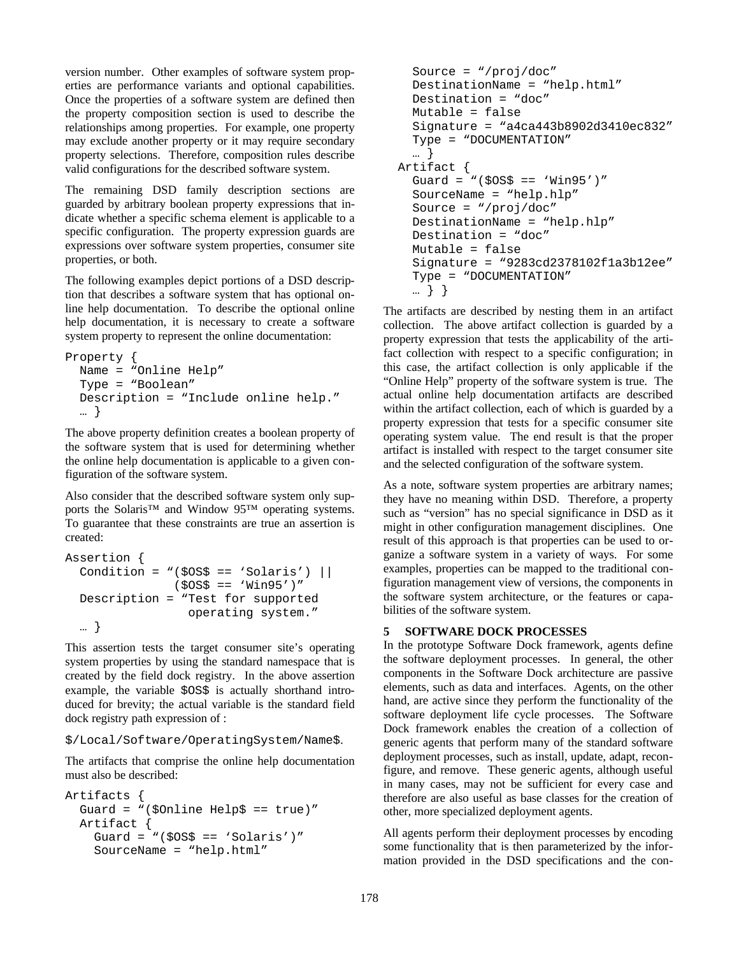version number. Other examples of software system properties are performance variants and optional capabilities. Once the properties of a software system are defined then the property composition section is used to describe the relationships among properties. For example, one property may exclude another property or it may require secondary property selections. Therefore, composition rules describe valid configurations for the described software system.

The remaining DSD family description sections are guarded by arbitrary boolean property expressions that indicate whether a specific schema element is applicable to a specific configuration. The property expression guards are expressions over software system properties, consumer site properties, or both.

The following examples depict portions of a DSD description that describes a software system that has optional online help documentation. To describe the optional online help documentation, it is necessary to create a software system property to represent the online documentation:

```
Property {
  Name = "Online Help"
  Type = "Boolean"
  Description = "Include online help."
  … }
```
The above property definition creates a boolean property of the software system that is used for determining whether the online help documentation is applicable to a given configuration of the software system.

Also consider that the described software system only supports the Solaris™ and Window 95™ operating systems. To guarantee that these constraints are true an assertion is created:

```
Assertion {
 Condition = "(50S$ == 'Solaris') ||(50S\ == 'Win95')"
  Description = "Test for supported
                 operating system."
  … }
```
This assertion tests the target consumer site's operating system properties by using the standard namespace that is created by the field dock registry. In the above assertion example, the variable \$OS\$ is actually shorthand introduced for brevity; the actual variable is the standard field dock registry path expression of :

```
$/Local/Software/OperatingSystem/Name$.
```
The artifacts that comprise the online help documentation must also be described:

```
Artifacts {
  Guard = "($Online Help$ == true)"
  Artifact {
    Guard = "($OS$ == 'Solaris')"
    SourceName = "help.html"
```

```
 Source = "/proj/doc"
  DestinationName = "help.html"
  Destination = "doc"
  Mutable = false
  Signature = "a4ca443b8902d3410ec832"
  Type = "DOCUMENTATION"
  … }
Artifact {
 Guard = "(50S$ == 'Win95')" SourceName = "help.hlp"
  Source = "/proj/doc"
  DestinationName = "help.hlp"
  Destination = "doc"
  Mutable = false
  Signature = "9283cd2378102f1a3b12ee"
  Type = "DOCUMENTATION"
  … } }
```
The artifacts are described by nesting them in an artifact collection. The above artifact collection is guarded by a property expression that tests the applicability of the artifact collection with respect to a specific configuration; in this case, the artifact collection is only applicable if the "Online Help" property of the software system is true. The actual online help documentation artifacts are described within the artifact collection, each of which is guarded by a property expression that tests for a specific consumer site operating system value. The end result is that the proper artifact is installed with respect to the target consumer site and the selected configuration of the software system.

As a note, software system properties are arbitrary names; they have no meaning within DSD. Therefore, a property such as "version" has no special significance in DSD as it might in other configuration management disciplines. One result of this approach is that properties can be used to organize a software system in a variety of ways. For some examples, properties can be mapped to the traditional configuration management view of versions, the components in the software system architecture, or the features or capabilities of the software system.

# **5 SOFTWARE DOCK PROCESSES**

In the prototype Software Dock framework, agents define the software deployment processes. In general, the other components in the Software Dock architecture are passive elements, such as data and interfaces. Agents, on the other hand, are active since they perform the functionality of the software deployment life cycle processes. The Software Dock framework enables the creation of a collection of generic agents that perform many of the standard software deployment processes, such as install, update, adapt, reconfigure, and remove. These generic agents, although useful in many cases, may not be sufficient for every case and therefore are also useful as base classes for the creation of other, more specialized deployment agents.

All agents perform their deployment processes by encoding some functionality that is then parameterized by the information provided in the DSD specifications and the con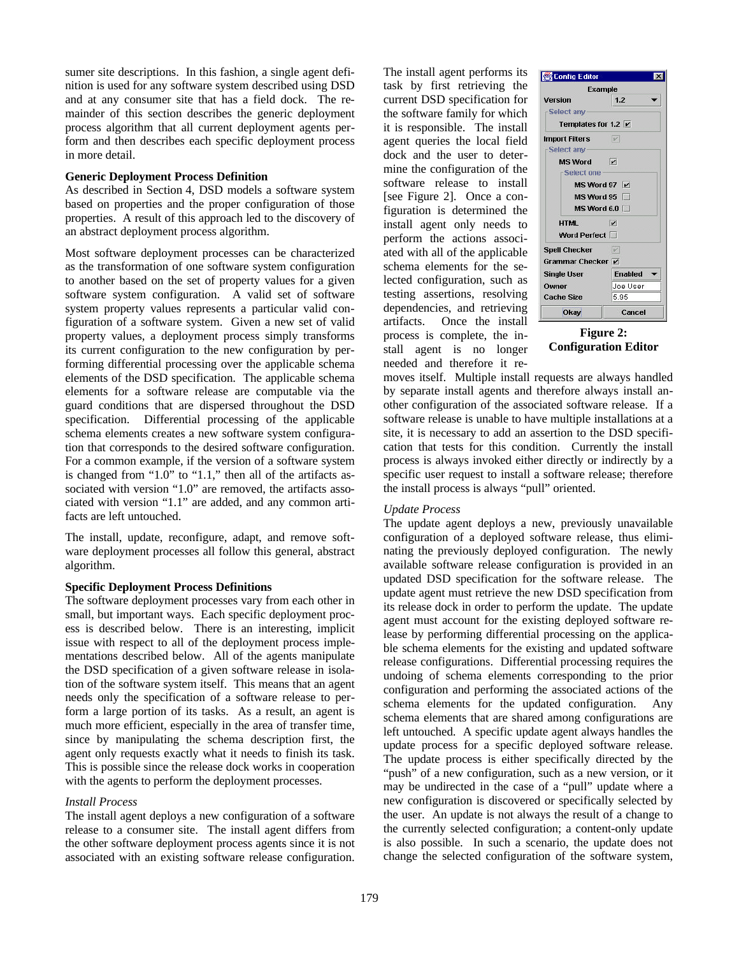sumer site descriptions. In this fashion, a single agent definition is used for any software system described using DSD and at any consumer site that has a field dock. The remainder of this section describes the generic deployment process algorithm that all current deployment agents perform and then describes each specific deployment process in more detail.

#### **Generic Deployment Process Definition**

As described in Section 4, DSD models a software system based on properties and the proper configuration of those properties. A result of this approach led to the discovery of an abstract deployment process algorithm.

Most software deployment processes can be characterized as the transformation of one software system configuration to another based on the set of property values for a given software system configuration. A valid set of software system property values represents a particular valid configuration of a software system. Given a new set of valid property values, a deployment process simply transforms its current configuration to the new configuration by performing differential processing over the applicable schema elements of the DSD specification. The applicable schema elements for a software release are computable via the guard conditions that are dispersed throughout the DSD specification. Differential processing of the applicable schema elements creates a new software system configuration that corresponds to the desired software configuration. For a common example, if the version of a software system is changed from "1.0" to "1.1," then all of the artifacts associated with version "1.0" are removed, the artifacts associated with version "1.1" are added, and any common artifacts are left untouched.

The install, update, reconfigure, adapt, and remove software deployment processes all follow this general, abstract algorithm.

#### **Specific Deployment Process Definitions**

The software deployment processes vary from each other in small, but important ways. Each specific deployment process is described below. There is an interesting, implicit issue with respect to all of the deployment process implementations described below. All of the agents manipulate the DSD specification of a given software release in isolation of the software system itself. This means that an agent needs only the specification of a software release to perform a large portion of its tasks. As a result, an agent is much more efficient, especially in the area of transfer time, since by manipulating the schema description first, the agent only requests exactly what it needs to finish its task. This is possible since the release dock works in cooperation with the agents to perform the deployment processes.

#### *Install Process*

The install agent deploys a new configuration of a software release to a consumer site. The install agent differs from the other software deployment process agents since it is not associated with an existing software release configuration.

The install agent performs its task by first retrieving the current DSD specification for the software family for which it is responsible. The install agent queries the local field dock and the user to determine the configuration of the software release to install [see Figure 2]. Once a configuration is determined the install agent only needs to perform the actions associated with all of the applicable schema elements for the selected configuration, such as testing assertions, resolving dependencies, and retrieving artifacts. Once the install process is complete, the install agent is no longer needed and therefore it re-

| Config Editor             |                         |
|---------------------------|-------------------------|
| <b>Example</b>            |                         |
| <b>Version</b>            | 1.2                     |
| Select any                |                         |
| Templates for 1.2 $\vert$ |                         |
| <b>Import Filters</b>     | V                       |
| Select any                |                         |
| <b>MS Word</b>            | $\overline{\mathbf{v}}$ |
| <b>Select one</b>         |                         |
| MS Word 97                |                         |
| MS Word 95                |                         |
| $MS$ Word 6.0             |                         |
| <b>HTMI</b>               | $\mathbf{v}$            |
| Word Perfect              |                         |
| <b>Spell Checker</b>      | V                       |
| Grammar Checker V         |                         |
| <b>Single User</b>        | <b>Enabled</b>          |
| Owner                     | Joe User                |
| <b>Cache Size</b>         | 5.95                    |
| Okay                      | Cancel                  |

**Figure 2: Configuration Editor**

moves itself. Multiple install requests are always handled by separate install agents and therefore always install another configuration of the associated software release. If a software release is unable to have multiple installations at a site, it is necessary to add an assertion to the DSD specification that tests for this condition. Currently the install process is always invoked either directly or indirectly by a specific user request to install a software release; therefore the install process is always "pull" oriented.

#### *Update Process*

The update agent deploys a new, previously unavailable configuration of a deployed software release, thus eliminating the previously deployed configuration. The newly available software release configuration is provided in an updated DSD specification for the software release. The update agent must retrieve the new DSD specification from its release dock in order to perform the update. The update agent must account for the existing deployed software release by performing differential processing on the applicable schema elements for the existing and updated software release configurations. Differential processing requires the undoing of schema elements corresponding to the prior configuration and performing the associated actions of the schema elements for the updated configuration. Any schema elements that are shared among configurations are left untouched. A specific update agent always handles the update process for a specific deployed software release. The update process is either specifically directed by the "push" of a new configuration, such as a new version, or it may be undirected in the case of a "pull" update where a new configuration is discovered or specifically selected by the user. An update is not always the result of a change to the currently selected configuration; a content-only update is also possible. In such a scenario, the update does not change the selected configuration of the software system,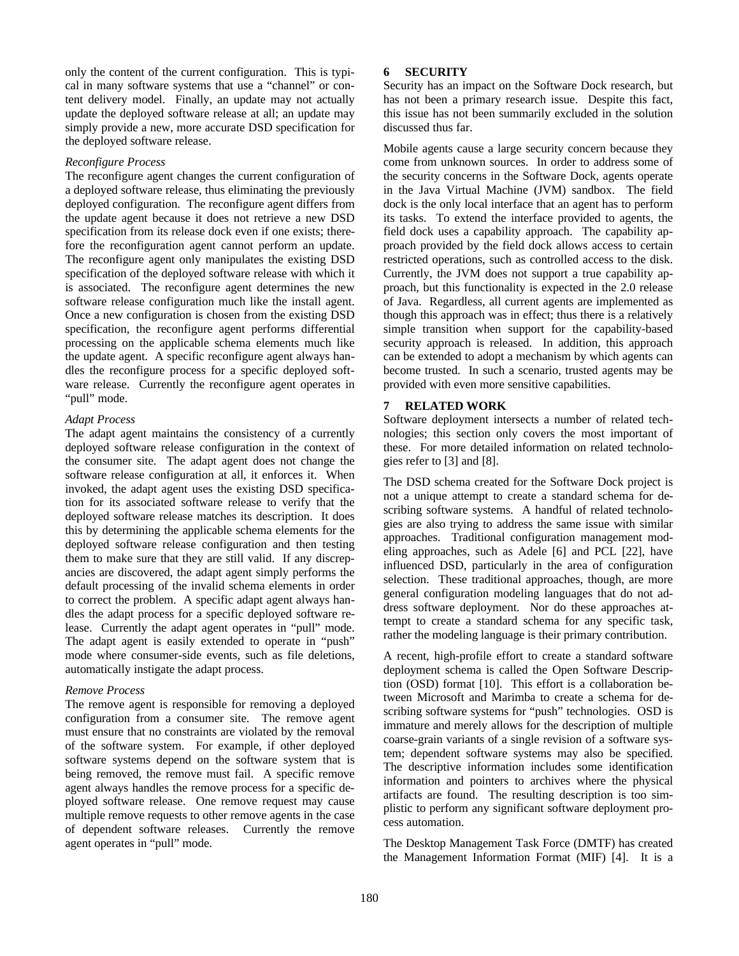only the content of the current configuration. This is typical in many software systems that use a "channel" or content delivery model. Finally, an update may not actually update the deployed software release at all; an update may simply provide a new, more accurate DSD specification for the deployed software release.

#### *Reconfigure Process*

The reconfigure agent changes the current configuration of a deployed software release, thus eliminating the previously deployed configuration. The reconfigure agent differs from the update agent because it does not retrieve a new DSD specification from its release dock even if one exists; therefore the reconfiguration agent cannot perform an update. The reconfigure agent only manipulates the existing DSD specification of the deployed software release with which it is associated. The reconfigure agent determines the new software release configuration much like the install agent. Once a new configuration is chosen from the existing DSD specification, the reconfigure agent performs differential processing on the applicable schema elements much like the update agent. A specific reconfigure agent always handles the reconfigure process for a specific deployed software release. Currently the reconfigure agent operates in "pull" mode.

#### *Adapt Process*

The adapt agent maintains the consistency of a currently deployed software release configuration in the context of the consumer site. The adapt agent does not change the software release configuration at all, it enforces it. When invoked, the adapt agent uses the existing DSD specification for its associated software release to verify that the deployed software release matches its description. It does this by determining the applicable schema elements for the deployed software release configuration and then testing them to make sure that they are still valid. If any discrepancies are discovered, the adapt agent simply performs the default processing of the invalid schema elements in order to correct the problem. A specific adapt agent always handles the adapt process for a specific deployed software release. Currently the adapt agent operates in "pull" mode. The adapt agent is easily extended to operate in "push" mode where consumer-side events, such as file deletions, automatically instigate the adapt process.

### *Remove Process*

The remove agent is responsible for removing a deployed configuration from a consumer site. The remove agent must ensure that no constraints are violated by the removal of the software system. For example, if other deployed software systems depend on the software system that is being removed, the remove must fail. A specific remove agent always handles the remove process for a specific deployed software release. One remove request may cause multiple remove requests to other remove agents in the case of dependent software releases. Currently the remove agent operates in "pull" mode.

#### **6 SECURITY**

Security has an impact on the Software Dock research, but has not been a primary research issue. Despite this fact, this issue has not been summarily excluded in the solution discussed thus far.

Mobile agents cause a large security concern because they come from unknown sources. In order to address some of the security concerns in the Software Dock, agents operate in the Java Virtual Machine (JVM) sandbox. The field dock is the only local interface that an agent has to perform its tasks. To extend the interface provided to agents, the field dock uses a capability approach. The capability approach provided by the field dock allows access to certain restricted operations, such as controlled access to the disk. Currently, the JVM does not support a true capability approach, but this functionality is expected in the 2.0 release of Java. Regardless, all current agents are implemented as though this approach was in effect; thus there is a relatively simple transition when support for the capability-based security approach is released. In addition, this approach can be extended to adopt a mechanism by which agents can become trusted. In such a scenario, trusted agents may be provided with even more sensitive capabilities.

## **7 RELATED WORK**

Software deployment intersects a number of related technologies; this section only covers the most important of these. For more detailed information on related technologies refer to [3] and [8].

The DSD schema created for the Software Dock project is not a unique attempt to create a standard schema for describing software systems. A handful of related technologies are also trying to address the same issue with similar approaches. Traditional configuration management modeling approaches, such as Adele [6] and PCL [22], have influenced DSD, particularly in the area of configuration selection. These traditional approaches, though, are more general configuration modeling languages that do not address software deployment. Nor do these approaches attempt to create a standard schema for any specific task, rather the modeling language is their primary contribution.

A recent, high-profile effort to create a standard software deployment schema is called the Open Software Description (OSD) format [10]. This effort is a collaboration between Microsoft and Marimba to create a schema for describing software systems for "push" technologies. OSD is immature and merely allows for the description of multiple coarse-grain variants of a single revision of a software system; dependent software systems may also be specified. The descriptive information includes some identification information and pointers to archives where the physical artifacts are found. The resulting description is too simplistic to perform any significant software deployment process automation.

The Desktop Management Task Force (DMTF) has created the Management Information Format (MIF) [4]. It is a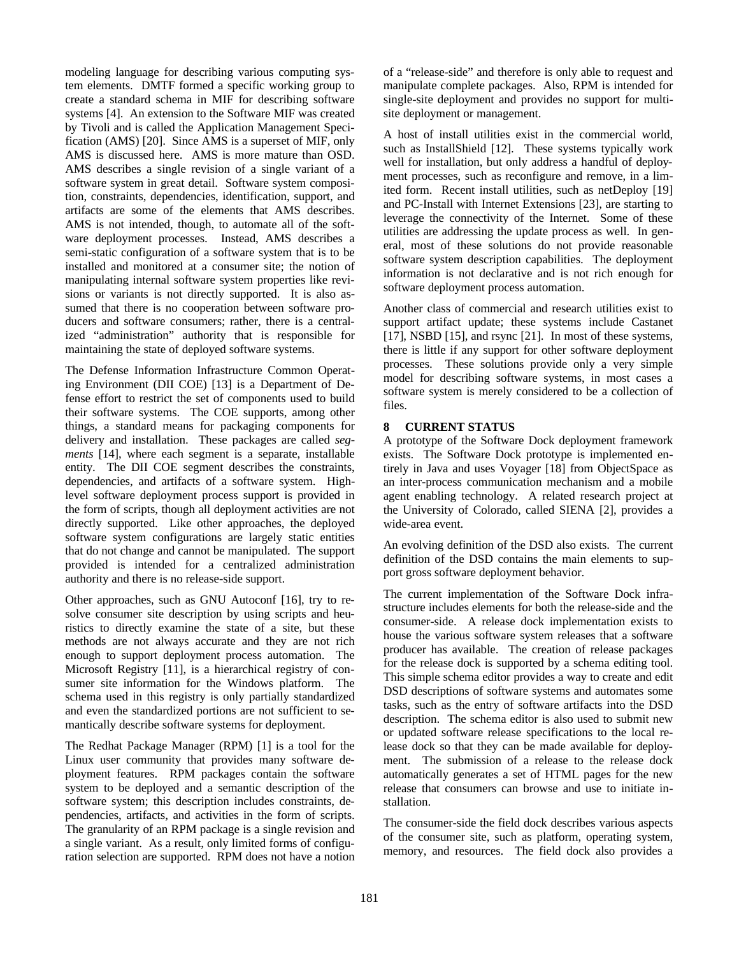modeling language for describing various computing system elements. DMTF formed a specific working group to create a standard schema in MIF for describing software systems [4]. An extension to the Software MIF was created by Tivoli and is called the Application Management Specification (AMS) [20]. Since AMS is a superset of MIF, only AMS is discussed here. AMS is more mature than OSD. AMS describes a single revision of a single variant of a software system in great detail. Software system composition, constraints, dependencies, identification, support, and artifacts are some of the elements that AMS describes. AMS is not intended, though, to automate all of the software deployment processes. Instead, AMS describes a semi-static configuration of a software system that is to be installed and monitored at a consumer site; the notion of manipulating internal software system properties like revisions or variants is not directly supported. It is also assumed that there is no cooperation between software producers and software consumers; rather, there is a centralized "administration" authority that is responsible for maintaining the state of deployed software systems.

The Defense Information Infrastructure Common Operating Environment (DII COE) [13] is a Department of Defense effort to restrict the set of components used to build their software systems. The COE supports, among other things, a standard means for packaging components for delivery and installation. These packages are called *segments* [14], where each segment is a separate, installable entity. The DII COE segment describes the constraints, dependencies, and artifacts of a software system. Highlevel software deployment process support is provided in the form of scripts, though all deployment activities are not directly supported. Like other approaches, the deployed software system configurations are largely static entities that do not change and cannot be manipulated. The support provided is intended for a centralized administration authority and there is no release-side support.

Other approaches, such as GNU Autoconf [16], try to resolve consumer site description by using scripts and heuristics to directly examine the state of a site, but these methods are not always accurate and they are not rich enough to support deployment process automation. The Microsoft Registry [11], is a hierarchical registry of consumer site information for the Windows platform. The schema used in this registry is only partially standardized and even the standardized portions are not sufficient to semantically describe software systems for deployment.

The Redhat Package Manager (RPM) [1] is a tool for the Linux user community that provides many software deployment features. RPM packages contain the software system to be deployed and a semantic description of the software system; this description includes constraints, dependencies, artifacts, and activities in the form of scripts. The granularity of an RPM package is a single revision and a single variant. As a result, only limited forms of configuration selection are supported. RPM does not have a notion of a "release-side" and therefore is only able to request and manipulate complete packages. Also, RPM is intended for single-site deployment and provides no support for multisite deployment or management.

A host of install utilities exist in the commercial world, such as InstallShield [12]. These systems typically work well for installation, but only address a handful of deployment processes, such as reconfigure and remove, in a limited form. Recent install utilities, such as netDeploy [19] and PC-Install with Internet Extensions [23], are starting to leverage the connectivity of the Internet. Some of these utilities are addressing the update process as well. In general, most of these solutions do not provide reasonable software system description capabilities. The deployment information is not declarative and is not rich enough for software deployment process automation.

Another class of commercial and research utilities exist to support artifact update; these systems include Castanet [17], NSBD [15], and rsync [21]. In most of these systems, there is little if any support for other software deployment processes. These solutions provide only a very simple model for describing software systems, in most cases a software system is merely considered to be a collection of files.

# **8 CURRENT STATUS**

A prototype of the Software Dock deployment framework exists. The Software Dock prototype is implemented entirely in Java and uses Voyager [18] from ObjectSpace as an inter-process communication mechanism and a mobile agent enabling technology. A related research project at the University of Colorado, called SIENA [2], provides a wide-area event.

An evolving definition of the DSD also exists. The current definition of the DSD contains the main elements to support gross software deployment behavior.

The current implementation of the Software Dock infrastructure includes elements for both the release-side and the consumer-side. A release dock implementation exists to house the various software system releases that a software producer has available. The creation of release packages for the release dock is supported by a schema editing tool. This simple schema editor provides a way to create and edit DSD descriptions of software systems and automates some tasks, such as the entry of software artifacts into the DSD description. The schema editor is also used to submit new or updated software release specifications to the local release dock so that they can be made available for deployment. The submission of a release to the release dock automatically generates a set of HTML pages for the new release that consumers can browse and use to initiate installation.

The consumer-side the field dock describes various aspects of the consumer site, such as platform, operating system, memory, and resources. The field dock also provides a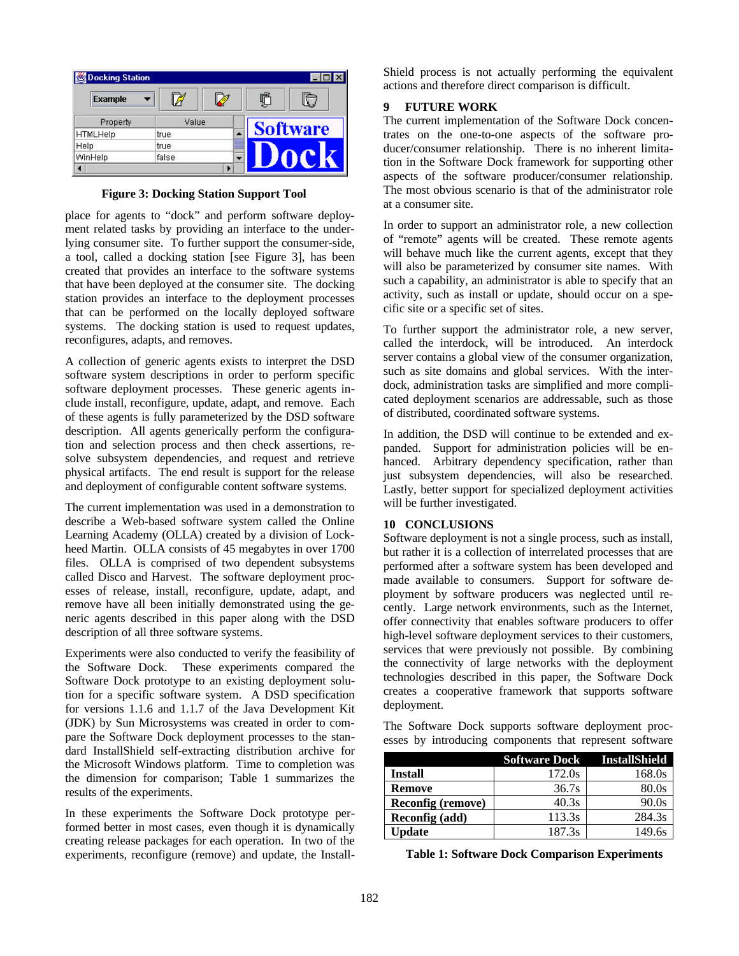| Docking Station |       |   |                 | 1 - 1 0 <b>1</b> |  |
|-----------------|-------|---|-----------------|------------------|--|
| <b>Example</b>  |       |   |                 |                  |  |
| Property        | Value |   |                 |                  |  |
| <b>HTMLHelp</b> | true  |   | <b>Software</b> |                  |  |
| Help            | true  |   |                 |                  |  |
| WinHelp         | false |   | <b>AP</b>       | ۳.               |  |
|                 |       | ٠ |                 |                  |  |

**Figure 3: Docking Station Support Tool**

place for agents to "dock" and perform software deployment related tasks by providing an interface to the underlying consumer site. To further support the consumer-side, a tool, called a docking station [see Figure 3], has been created that provides an interface to the software systems that have been deployed at the consumer site. The docking station provides an interface to the deployment processes that can be performed on the locally deployed software systems. The docking station is used to request updates, reconfigures, adapts, and removes.

A collection of generic agents exists to interpret the DSD software system descriptions in order to perform specific software deployment processes. These generic agents include install, reconfigure, update, adapt, and remove. Each of these agents is fully parameterized by the DSD software description. All agents generically perform the configuration and selection process and then check assertions, resolve subsystem dependencies, and request and retrieve physical artifacts. The end result is support for the release and deployment of configurable content software systems.

The current implementation was used in a demonstration to describe a Web-based software system called the Online Learning Academy (OLLA) created by a division of Lockheed Martin. OLLA consists of 45 megabytes in over 1700 files. OLLA is comprised of two dependent subsystems called Disco and Harvest. The software deployment processes of release, install, reconfigure, update, adapt, and remove have all been initially demonstrated using the generic agents described in this paper along with the DSD description of all three software systems.

Experiments were also conducted to verify the feasibility of the Software Dock. These experiments compared the Software Dock prototype to an existing deployment solution for a specific software system. A DSD specification for versions 1.1.6 and 1.1.7 of the Java Development Kit (JDK) by Sun Microsystems was created in order to compare the Software Dock deployment processes to the standard InstallShield self-extracting distribution archive for the Microsoft Windows platform. Time to completion was the dimension for comparison; Table 1 summarizes the results of the experiments.

In these experiments the Software Dock prototype performed better in most cases, even though it is dynamically creating release packages for each operation. In two of the experiments, reconfigure (remove) and update, the InstallShield process is not actually performing the equivalent actions and therefore direct comparison is difficult.

# **9 FUTURE WORK**

The current implementation of the Software Dock concentrates on the one-to-one aspects of the software producer/consumer relationship. There is no inherent limitation in the Software Dock framework for supporting other aspects of the software producer/consumer relationship. The most obvious scenario is that of the administrator role at a consumer site.

In order to support an administrator role, a new collection of "remote" agents will be created. These remote agents will behave much like the current agents, except that they will also be parameterized by consumer site names. With such a capability, an administrator is able to specify that an activity, such as install or update, should occur on a specific site or a specific set of sites.

To further support the administrator role, a new server, called the interdock, will be introduced. An interdock server contains a global view of the consumer organization, such as site domains and global services. With the interdock, administration tasks are simplified and more complicated deployment scenarios are addressable, such as those of distributed, coordinated software systems.

In addition, the DSD will continue to be extended and expanded. Support for administration policies will be enhanced. Arbitrary dependency specification, rather than just subsystem dependencies, will also be researched. Lastly, better support for specialized deployment activities will be further investigated.

# **10 CONCLUSIONS**

Software deployment is not a single process, such as install, but rather it is a collection of interrelated processes that are performed after a software system has been developed and made available to consumers. Support for software deployment by software producers was neglected until recently. Large network environments, such as the Internet, offer connectivity that enables software producers to offer high-level software deployment services to their customers, services that were previously not possible. By combining the connectivity of large networks with the deployment technologies described in this paper, the Software Dock creates a cooperative framework that supports software deployment.

The Software Dock supports software deployment processes by introducing components that represent software

|                   | <b>Software Dock</b> | <b>InstallShield</b> |
|-------------------|----------------------|----------------------|
| <b>Install</b>    | 172.0s               | 168.0s               |
| Remove            | 36.7s                | 80.0s                |
| Reconfig (remove) | 40.3s                | 90.0s                |
| Reconfig (add)    | 113.3s               | 284.3s               |
| Update            | 187.3s               | 149.6s               |

**Table 1: Software Dock Comparison Experiments**